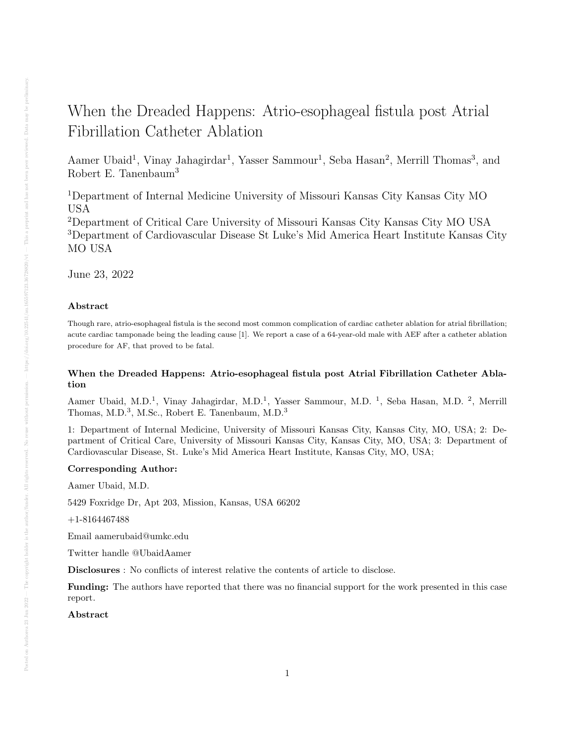# When the Dreaded Happens: Atrio-esophageal fistula post Atrial Fibrillation Catheter Ablation

Aamer Ubaid<sup>1</sup>, Vinay Jahagirdar<sup>1</sup>, Yasser Sammour<sup>1</sup>, Seba Hasan<sup>2</sup>, Merrill Thomas<sup>3</sup>, and Robert E. Tanenbaum<sup>3</sup>

<sup>1</sup>Department of Internal Medicine University of Missouri Kansas City Kansas City MO USA

<sup>2</sup>Department of Critical Care University of Missouri Kansas City Kansas City MO USA <sup>3</sup>Department of Cardiovascular Disease St Luke's Mid America Heart Institute Kansas City MO USA

June 23, 2022

# Abstract

Though rare, atrio-esophageal fistula is the second most common complication of cardiac catheter ablation for atrial fibrillation; acute cardiac tamponade being the leading cause [1]. We report a case of a 64-year-old male with AEF after a catheter ablation procedure for AF, that proved to be fatal.

# When the Dreaded Happens: Atrio-esophageal fistula post Atrial Fibrillation Catheter Ablation

Aamer Ubaid, M.D.<sup>1</sup>, Vinay Jahagirdar, M.D.<sup>1</sup>, Yasser Sammour, M.D.<sup>1</sup>, Seba Hasan, M.D.<sup>2</sup>, Merrill Thomas, M.D.<sup>3</sup>, M.Sc., Robert E. Tanenbaum, M.D.<sup>3</sup>

1: Department of Internal Medicine, University of Missouri Kansas City, Kansas City, MO, USA; 2: Department of Critical Care, University of Missouri Kansas City, Kansas City, MO, USA; 3: Department of Cardiovascular Disease, St. Luke's Mid America Heart Institute, Kansas City, MO, USA;

# Corresponding Author:

Aamer Ubaid, M.D.

5429 Foxridge Dr, Apt 203, Mission, Kansas, USA 66202

+1-8164467488

Email aamerubaid@umkc.edu

Twitter handle @UbaidAamer

Disclosures : No conflicts of interest relative the contents of article to disclose.

Funding: The authors have reported that there was no financial support for the work presented in this case report.

Abstract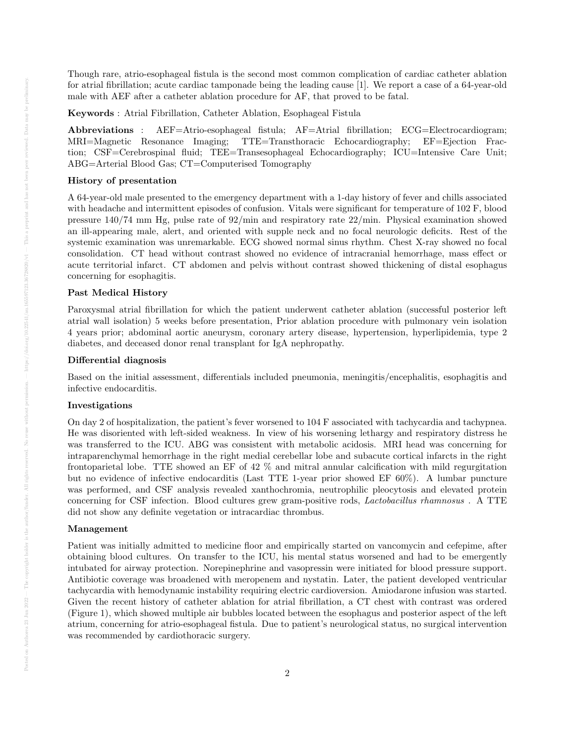Though rare, atrio-esophageal fistula is the second most common complication of cardiac catheter ablation for atrial fibrillation; acute cardiac tamponade being the leading cause [1]. We report a case of a 64-year-old male with AEF after a catheter ablation procedure for AF, that proved to be fatal.

Keywords : Atrial Fibrillation, Catheter Ablation, Esophageal Fistula

Abbreviations : AEF=Atrio-esophageal fistula; AF=Atrial fibrillation; ECG=Electrocardiogram; MRI=Magnetic Resonance Imaging; TTE=Transthoracic Echocardiography; EF=Ejection Fraction; CSF=Cerebrospinal fluid; TEE=Transesophageal Echocardiography; ICU=Intensive Care Unit; ABG=Arterial Blood Gas; CT=Computerised Tomography

# History of presentation

A 64-year-old male presented to the emergency department with a 1-day history of fever and chills associated with headache and intermittent episodes of confusion. Vitals were significant for temperature of 102 F, blood pressure 140/74 mm Hg, pulse rate of 92/min and respiratory rate 22/min. Physical examination showed an ill-appearing male, alert, and oriented with supple neck and no focal neurologic deficits. Rest of the systemic examination was unremarkable. ECG showed normal sinus rhythm. Chest X-ray showed no focal consolidation. CT head without contrast showed no evidence of intracranial hemorrhage, mass effect or acute territorial infarct. CT abdomen and pelvis without contrast showed thickening of distal esophagus concerning for esophagitis.

# Past Medical History

Paroxysmal atrial fibrillation for which the patient underwent catheter ablation (successful posterior left atrial wall isolation) 5 weeks before presentation, Prior ablation procedure with pulmonary vein isolation 4 years prior; abdominal aortic aneurysm, coronary artery disease, hypertension, hyperlipidemia, type 2 diabetes, and deceased donor renal transplant for IgA nephropathy.

# Differential diagnosis

Based on the initial assessment, differentials included pneumonia, meningitis/encephalitis, esophagitis and infective endocarditis.

# Investigations

On day 2 of hospitalization, the patient's fever worsened to 104 F associated with tachycardia and tachypnea. He was disoriented with left-sided weakness. In view of his worsening lethargy and respiratory distress he was transferred to the ICU. ABG was consistent with metabolic acidosis. MRI head was concerning for intraparenchymal hemorrhage in the right medial cerebellar lobe and subacute cortical infarcts in the right frontoparietal lobe. TTE showed an EF of 42 % and mitral annular calcification with mild regurgitation but no evidence of infective endocarditis (Last TTE 1-year prior showed EF 60%). A lumbar puncture was performed, and CSF analysis revealed xanthochromia, neutrophilic pleocytosis and elevated protein concerning for CSF infection. Blood cultures grew gram-positive rods, Lactobacillus rhamnosus . A TTE did not show any definite vegetation or intracardiac thrombus.

#### Management

Patient was initially admitted to medicine floor and empirically started on vancomycin and cefepime, after obtaining blood cultures. On transfer to the ICU, his mental status worsened and had to be emergently intubated for airway protection. Norepinephrine and vasopressin were initiated for blood pressure support. Antibiotic coverage was broadened with meropenem and nystatin. Later, the patient developed ventricular tachycardia with hemodynamic instability requiring electric cardioversion. Amiodarone infusion was started. Given the recent history of catheter ablation for atrial fibrillation, a CT chest with contrast was ordered (Figure 1), which showed multiple air bubbles located between the esophagus and posterior aspect of the left atrium, concerning for atrio-esophageal fistula. Due to patient's neurological status, no surgical intervention was recommended by cardiothoracic surgery.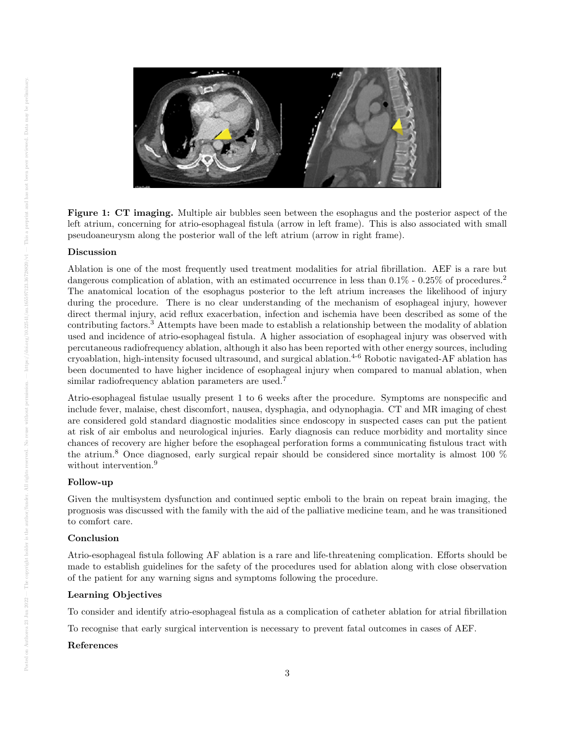

Figure 1: CT imaging. Multiple air bubbles seen between the esophagus and the posterior aspect of the left atrium, concerning for atrio-esophageal fistula (arrow in left frame). This is also associated with small pseudoaneurysm along the posterior wall of the left atrium (arrow in right frame).

# Discussion

Ablation is one of the most frequently used treatment modalities for atrial fibrillation. AEF is a rare but dangerous complication of ablation, with an estimated occurrence in less than  $0.1\%$  -  $0.25\%$  of procedures.<sup>2</sup> The anatomical location of the esophagus posterior to the left atrium increases the likelihood of injury during the procedure. There is no clear understanding of the mechanism of esophageal injury, however direct thermal injury, acid reflux exacerbation, infection and ischemia have been described as some of the contributing factors.<sup>3</sup> Attempts have been made to establish a relationship between the modality of ablation used and incidence of atrio-esophageal fistula. A higher association of esophageal injury was observed with percutaneous radiofrequency ablation, although it also has been reported with other energy sources, including cryoablation, high-intensity focused ultrasound, and surgical ablation.4-6 Robotic navigated-AF ablation has been documented to have higher incidence of esophageal injury when compared to manual ablation, when similar radiofrequency ablation parameters are used.<sup>7</sup>

Atrio-esophageal fistulae usually present 1 to 6 weeks after the procedure. Symptoms are nonspecific and include fever, malaise, chest discomfort, nausea, dysphagia, and odynophagia. CT and MR imaging of chest are considered gold standard diagnostic modalities since endoscopy in suspected cases can put the patient at risk of air embolus and neurological injuries. Early diagnosis can reduce morbidity and mortality since chances of recovery are higher before the esophageal perforation forms a communicating fistulous tract with the atrium.<sup>8</sup> Once diagnosed, early surgical repair should be considered since mortality is almost 100 % without intervention.<sup>9</sup>

#### Follow-up

Given the multisystem dysfunction and continued septic emboli to the brain on repeat brain imaging, the prognosis was discussed with the family with the aid of the palliative medicine team, and he was transitioned to comfort care.

# Conclusion

Atrio-esophageal fistula following AF ablation is a rare and life-threatening complication. Efforts should be made to establish guidelines for the safety of the procedures used for ablation along with close observation of the patient for any warning signs and symptoms following the procedure.

# Learning Objectives

To consider and identify atrio-esophageal fistula as a complication of catheter ablation for atrial fibrillation

To recognise that early surgical intervention is necessary to prevent fatal outcomes in cases of AEF.

# References